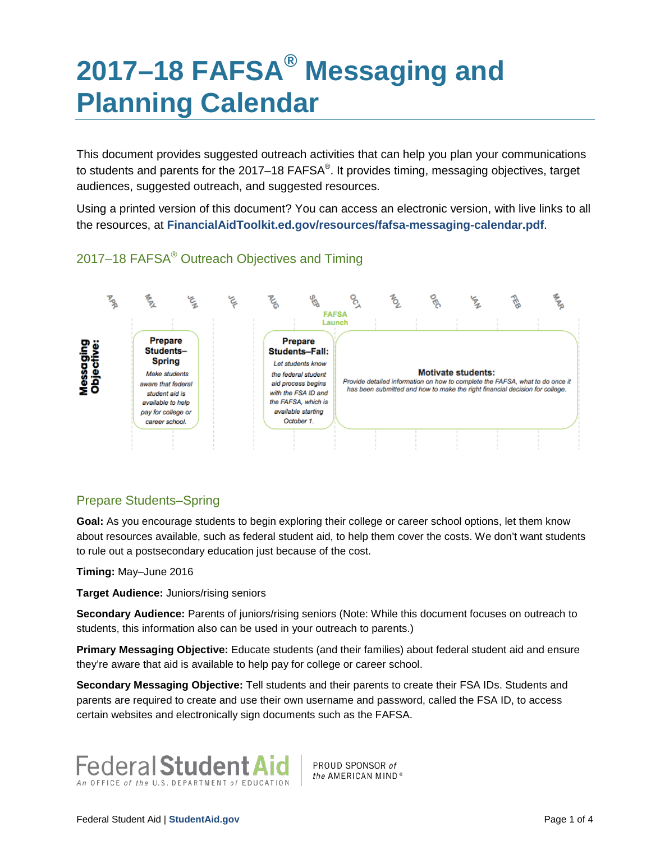# **2017–18 FAFSA® Messaging and Planning Calendar**

This document provides suggested outreach activities that can help you plan your communications to students and parents for the 2017–18 FAFSA<sup>®</sup>. It provides timing, messaging objectives, target audiences, suggested outreach, and suggested resources.

Using a printed version of this document? You can access an electronic version, with live links to all the resources, at **[FinancialAidToolkit.ed.gov/resources/fafsa-messaging-calendar.pdf](https://financialaidtoolkit.ed.gov/resources/fafsa-messaging-calendar.pdf)**.





# Prepare Students–Spring

Goal: As you encourage students to begin exploring their college or career school options, let them know about resources available, such as federal student aid, to help them cover the costs. We don't want students to rule out a postsecondary education just because of the cost.

**Timing:** May–June 2016

**Target Audience:** Juniors/rising seniors

**Secondary Audience:** Parents of juniors/rising seniors (Note: While this document focuses on outreach to students, this information also can be used in your outreach to parents.)

**Primary Messaging Objective:** Educate students (and their families) about federal student aid and ensure they're aware that aid is available to help pay for college or career school.

**Secondary Messaging Objective:** Tell students and their parents to create their FSA IDs. Students and parents are required to create and use their own username and password, called the FSA ID, to access certain websites and electronically sign documents such as the FAFSA.



PROUD SPONSOR of the AMERICAN MIND<sup>®</sup>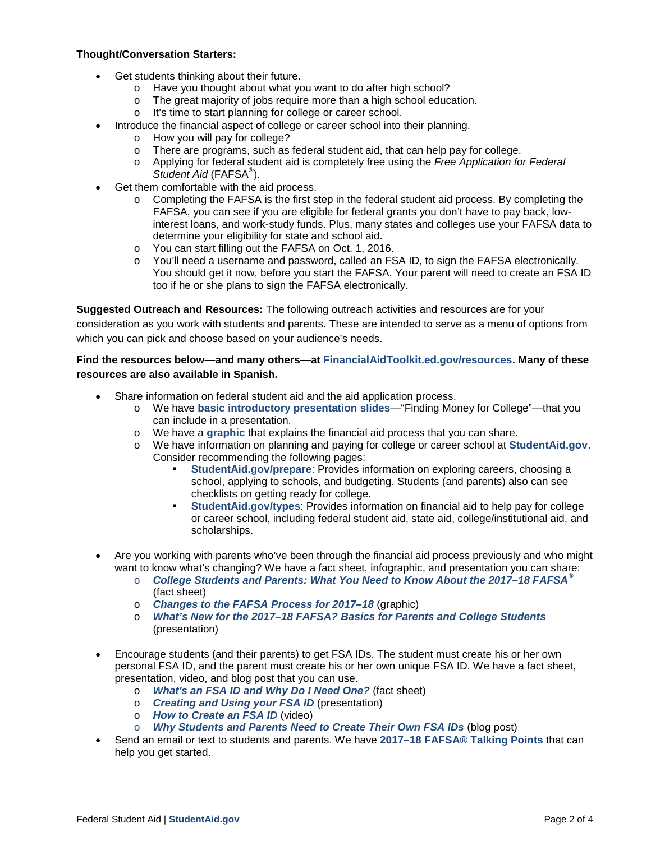#### **Thought/Conversation Starters:**

- Get students thinking about their future.
	- o Have you thought about what you want to do after high school?
	- o The great majority of jobs require more than a high school education.
	- o It's time to start planning for college or career school.
	- Introduce the financial aspect of college or career school into their planning.
		- o How you will pay for college?
		- $\circ$  There are programs, such as federal student aid, that can help pay for college.
		- o Applying for federal student aid is completely free using the *Free Application for Federal Student Aid* (FAFSA® ).
- Get them comfortable with the aid process.
	- $\circ$  Completing the FAFSA is the first step in the federal student aid process. By completing the FAFSA, you can see if you are eligible for federal grants you don't have to pay back, lowinterest loans, and work-study funds. Plus, many states and colleges use your FAFSA data to determine your eligibility for state and school aid.
	- o You can start filling out the FAFSA on Oct. 1, 2016.<br>o You'll need a username and password. called an FS
	- You'll need a username and password, called an FSA ID, to sign the FAFSA electronically. You should get it now, before you start the FAFSA. Your parent will need to create an FSA ID too if he or she plans to sign the FAFSA electronically.

**Suggested Outreach and Resources:** The following outreach activities and resources are for your

consideration as you work with students and parents. These are intended to serve as a menu of options from which you can pick and choose based on your audience's needs.

## **Find the resources below—and many others—at [FinancialAidToolkit.ed.gov/resources.](https://financialaidtoolkit.ed.gov/tk/resources.jsp) Many of these resources are also available in Spanish.**

- Share information on federal student aid and the aid application process.
	- o We have **[basic introductory presentation slides](http://www.financialaidtoolkit.ed.gov/resources/finding-money-for-college.ppt)**—"Finding Money for College"—that you can include in a presentation.
	- o We have a **[graphic](https://studentaid.ed.gov/sa/sites/default/files/financial-aid-process.png)** that explains the financial aid process that you can share.
	- o We have information on planning and paying for college or career school at **[StudentAid.gov](https://studentaid.ed.gov/)**. Consider recommending the following pages:
		- **[StudentAid.gov/prepare](https://studentaid.ed.gov/sa/prepare-for-college)**: Provides information on exploring careers, choosing a school, applying to schools, and budgeting. Students (and parents) also can see checklists on getting ready for college.
		- **[StudentAid.gov/types](https://studentaid.ed.gov/sa/types)**: Provides information on financial aid to help pay for college or career school, including federal student aid, state aid, college/institutional aid, and scholarships.
- Are you working with parents who've been through the financial aid process previously and who might want to know what's changing? We have a fact sheet, infographic, and presentation you can share:
	- o *[College Students and Parents: What You Need to Know About the 2017–18 FAFSA](https://studentaid.ed.gov/sa/sites/default/files/2017-18-fafsa-updates-students-parents.pdf)®* (fact sheet)
	- o *[Changes to the FAFSA Process for 2017–18](https://studentaid.ed.gov/sa/sites/default/files/2017-18-fafsa-process-changes.png)* (graphic)
	- o *[What's New for the 2017–18 FAFSA? Basics for Parents and College Students](https://financialaidtoolkit.ed.gov/resources/2017-18-fafsa-students-parents.ppt)* (presentation)
- Encourage students (and their parents) to get FSA IDs. The student must create his or her own personal FSA ID, and the parent must create his or her own unique FSA ID. We have a fact sheet, presentation, video, and blog post that you can use.
	- o *[What's an FSA ID and Why Do I Need One?](https://studentaid.ed.gov/sa/sites/default/files/whats-fsaid.pdf)* (fact sheet)
	- o *[Creating and Using your FSA ID](https://www.financialaidtoolkit.ed.gov/resources/creating-using-fsa-id.ppt)* (presentation)
	- o *[How to Create an FSA ID](https://studentaid.ed.gov/sa/sites/default/files/how-to-create-fsa-id.wmv)* (video)
	- o *[Why Students and Parents Need to Create Their Own FSA IDs](http://blog.ed.gov/2016/01/why-students-and-parents-need-to-create-their-own-fsa-ids/)* (blog post)
- Send an email or text to students and parents. We have **[2017–18 FAFSA® Talking Points](http://www.financialaidtoolkit.ed.gov/resources/2017-18-fafsa-talking-points.doc)** that can help you get started.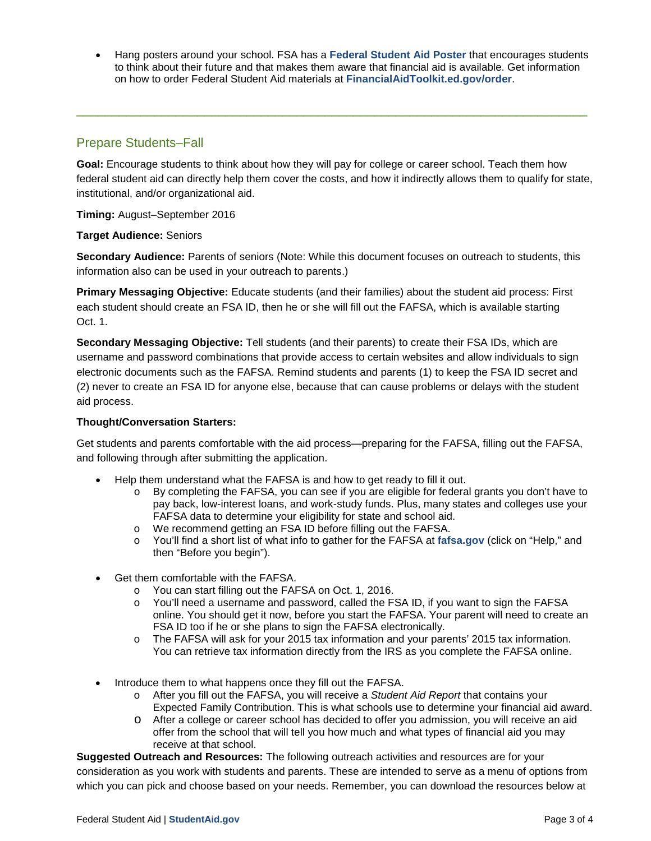• Hang posters around your school. FSA has a **[Federal Student Aid Poster](https://financialaidtoolkit.ed.gov/resources/federal-student-aid-poster.pdf)** that encourages students to think about their future and that makes them aware that financial aid is available. Get information on how to order Federal Student Aid materials at **[FinancialAidToolkit.ed.gov/order](https://financialaidtoolkit.ed.gov/resources/order-federal-student-aid-publications.pdf)**.

# Prepare Students–Fall

**Goal:** Encourage students to think about how they will pay for college or career school. Teach them how federal student aid can directly help them cover the costs, and how it indirectly allows them to qualify for state, institutional, and/or organizational aid.

\_\_\_\_\_\_\_\_\_\_\_\_\_\_\_\_\_\_\_\_\_\_\_\_\_\_\_\_\_\_\_\_\_\_\_\_\_\_\_\_\_\_\_\_\_\_\_\_\_\_\_\_\_\_\_\_\_\_\_\_\_\_\_\_\_\_\_\_\_\_\_\_

**Timing:** August–September 2016

**Target Audience:** Seniors

**Secondary Audience:** Parents of seniors (Note: While this document focuses on outreach to students, this information also can be used in your outreach to parents.)

**Primary Messaging Objective:** Educate students (and their families) about the student aid process: First each student should create an FSA ID, then he or she will fill out the FAFSA, which is available starting Oct. 1.

**Secondary Messaging Objective:** Tell students (and their parents) to create their FSA IDs, which are username and password combinations that provide access to certain websites and allow individuals to sign electronic documents such as the FAFSA. Remind students and parents (1) to keep the FSA ID secret and (2) never to create an FSA ID for anyone else, because that can cause problems or delays with the student aid process.

### **Thought/Conversation Starters:**

Get students and parents comfortable with the aid process—preparing for the FAFSA, filling out the FAFSA, and following through after submitting the application.

- Help them understand what the FAFSA is and how to get ready to fill it out.
	- o By completing the FAFSA, you can see if you are eligible for federal grants you don't have to pay back, low-interest loans, and work-study funds. Plus, many states and colleges use your FAFSA data to determine your eligibility for state and school aid.
	- o We recommend getting an FSA ID before filling out the FAFSA.
	- o You'll find a short list of what info to gather for the FAFSA at **[fafsa.gov](https://fafsa.gov/index.htm)** (click on "Help," and then "Before you begin").
- Get them comfortable with the FAFSA.
	- o You can start filling out the FAFSA on Oct. 1, 2016.
	- o You'll need a username and password, called the FSA ID, if you want to sign the FAFSA online. You should get it now, before you start the FAFSA. Your parent will need to create an FSA ID too if he or she plans to sign the FAFSA electronically.
	- o The FAFSA will ask for your 2015 tax information and your parents' 2015 tax information. You can retrieve tax information directly from the IRS as you complete the FAFSA online.
- Introduce them to what happens once they fill out the FAFSA.
	- o After you fill out the FAFSA, you will receive a *Student Aid Report* that contains your Expected Family Contribution. This is what schools use to determine your financial aid award.
	- o After a college or career school has decided to offer you admission, you will receive an aid offer from the school that will tell you how much and what types of financial aid you may receive at that school.

**Suggested Outreach and Resources:** The following outreach activities and resources are for your consideration as you work with students and parents. These are intended to serve as a menu of options from which you can pick and choose based on your needs. Remember, you can download the resources below at